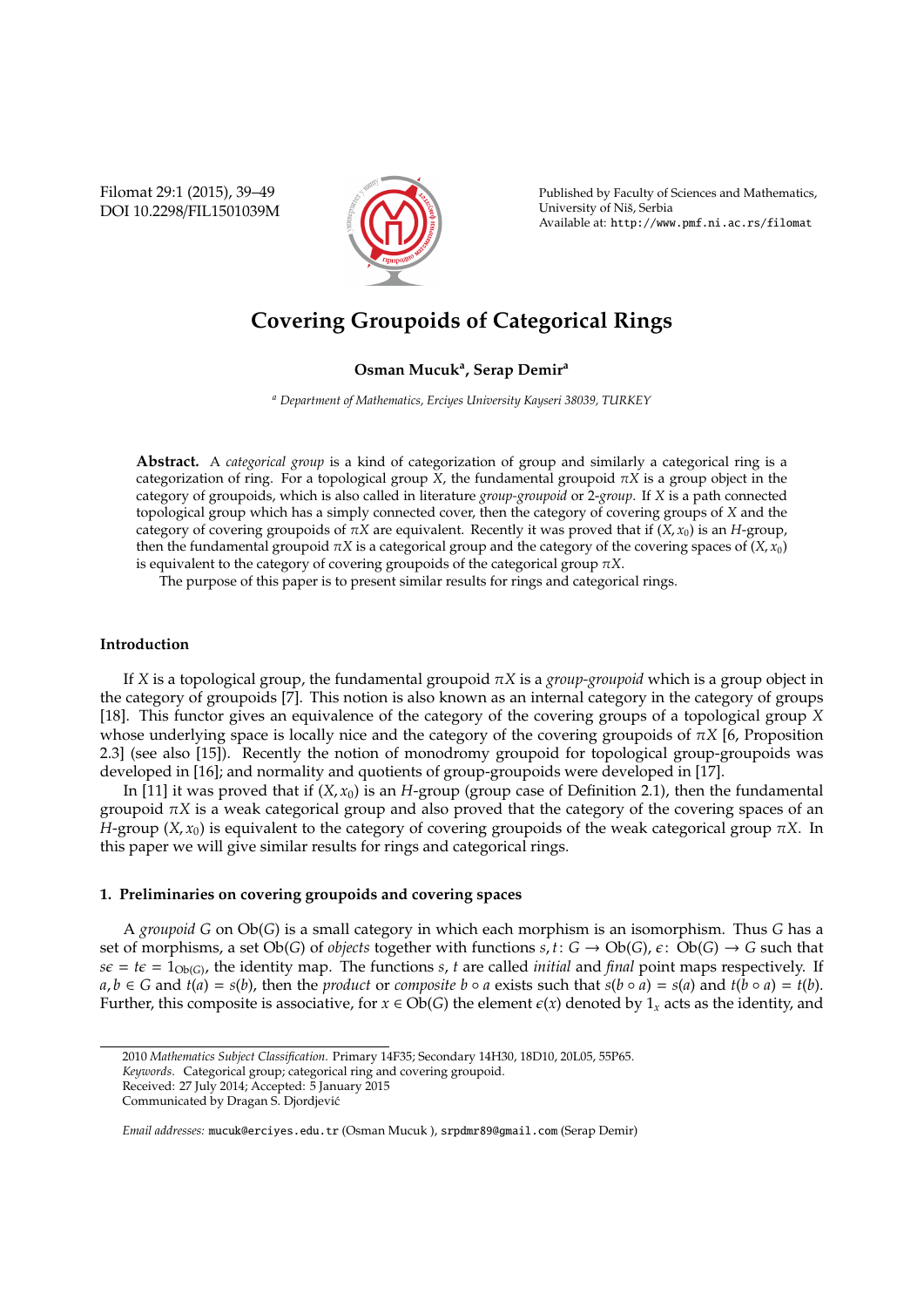Filomat 29:1 (2015), 39–49 DOI 10.2298/FIL1501039M



Published by Faculty of Sciences and Mathematics, University of Nis, Serbia ˇ Available at: http://www.pmf.ni.ac.rs/filomat

# **Covering Groupoids of Categorical Rings**

## **Osman Mucuk<sup>a</sup> , Serap Demir<sup>a</sup>**

*<sup>a</sup> Department of Mathematics, Erciyes University Kayseri 38039, TURKEY*

**Abstract.** A *categorical group* is a kind of categorization of group and similarly a categorical ring is a categorization of ring. For a topological group *X*, the fundamental groupoid  $\pi X$  is a group object in the category of groupoids, which is also called in literature *group-groupoid* or 2-*group*. If *X* is a path connected topological group which has a simply connected cover, then the category of covering groups of *X* and the category of covering groupoids of  $\pi X$  are equivalent. Recently it was proved that if  $(X, x_0)$  is an *H*-group, then the fundamental groupoid  $\pi X$  is a categorical group and the category of the covering spaces of  $(X, x_0)$ is equivalent to the category of covering groupoids of the categorical group  $\pi X$ .

The purpose of this paper is to present similar results for rings and categorical rings.

#### **Introduction**

If *X* is a topological group, the fundamental groupoid π*X* is a *group-groupoid* which is a group object in the category of groupoids [7]. This notion is also known as an internal category in the category of groups [18]. This functor gives an equivalence of the category of the covering groups of a topological group *X* whose underlying space is locally nice and the category of the covering groupoids of  $\pi X$  [6, Proposition 2.3] (see also [15]). Recently the notion of monodromy groupoid for topological group-groupoids was developed in [16]; and normality and quotients of group-groupoids were developed in [17].

In [11] it was proved that if  $(X, x_0)$  is an *H*-group (group case of Definition 2.1), then the fundamental groupoid π*X* is a weak categorical group and also proved that the category of the covering spaces of an *H*-group (*X*, *x*<sub>0</sub>) is equivalent to the category of covering groupoids of the weak categorical group  $\pi X$ . In this paper we will give similar results for rings and categorical rings.

### **1. Preliminaries on covering groupoids and covering spaces**

A *groupoid G* on Ob(*G*) is a small category in which each morphism is an isomorphism. Thus *G* has a set of morphisms, a set Ob(*G*) of *objects* together with functions  $s, t: G \to Ob(G), \epsilon: Ob(G) \to G$  such that  $s\epsilon = t\epsilon = 1_{Ob(G)}$ , the identity map. The functions *s*, *t* are called *initial* and *final* point maps respectively. If  $a, b \in G$  and  $t(a) = s(b)$ , then the product or composite  $b \circ a$  exists such that  $s(b \circ a) = s(a)$  and  $t(b \circ a) = t(b)$ . Further, this composite is associative, for  $x \in Ob(G)$  the element  $\epsilon(x)$  denoted by  $1_x$  acts as the identity, and

<sup>2010</sup> *Mathematics Subject Classification*. Primary 14F35; Secondary 14H30, 18D10, 20L05, 55P65.

*Keywords*. Categorical group; categorical ring and covering groupoid.

Received: 27 July 2014; Accepted: 5 January 2015

Communicated by Dragan S. Djordjevic´

*Email addresses:* mucuk@erciyes.edu.tr (Osman Mucuk ), srpdmr89@gmail.com (Serap Demir)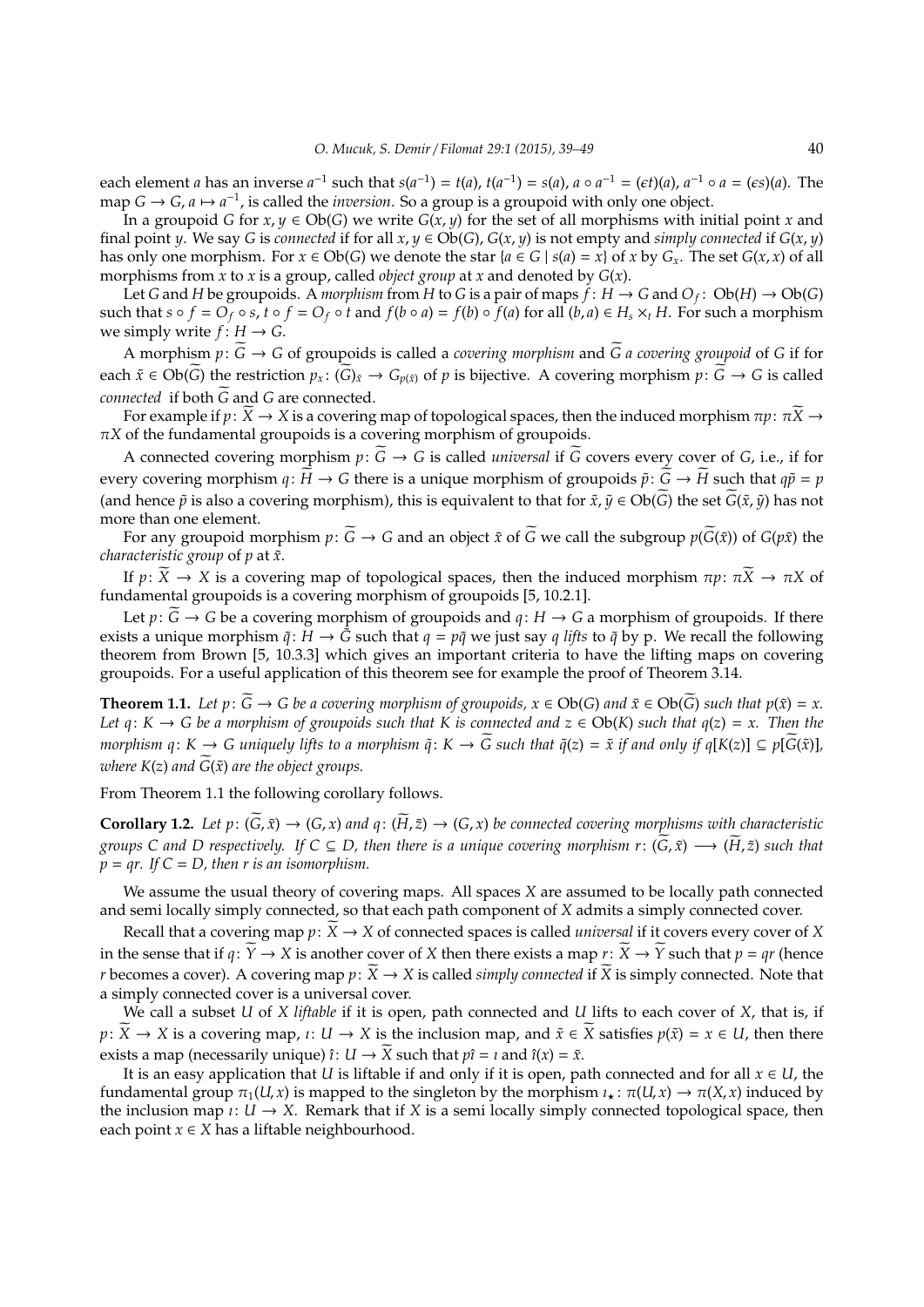each element *a* has an inverse  $a^{-1}$  such that  $s(a^{-1}) = t(a)$ ,  $t(a^{-1}) = s(a)$ ,  $a \circ a^{-1} = (\epsilon t)(a)$ ,  $a^{-1} \circ a = (\epsilon s)(a)$ . The map *G* → *G*, *a*  $\mapsto$  *a*<sup>-1</sup>, is called the *inversion*. So a group is a groupoid with only one object.

In a groupoid *G* for  $x, y \in Ob(G)$  we write  $G(x, y)$  for the set of all morphisms with initial point *x* and final point *y*. We say *G* is *connected* if for all  $x, y \in Ob(G)$ ,  $G(x, y)$  is not empty and *simply connected* if  $G(x, y)$ has only one morphism. For  $x \in Ob(G)$  we denote the star  $\{a \in G \mid s(a) = x\}$  of  $x$  by  $G_x$ . The set  $G(x, x)$  of all morphisms from *x* to *x* is a group, called *object group* at *x* and denoted by *G*(*x*).

Let *G* and *H* be groupoids. A *morphism* from *H* to *G* is a pair of maps  $\dot{f}: H \to G$  and  $O_f: Ob(H) \to Ob(G)$ such that  $s \circ f = O_f \circ s$ ,  $t \circ f = O_f \circ t$  and  $f(b \circ a) = f(b) \circ f(a)$  for all  $(b, a) \in H_s \times_t H$ . For such a morphism we simply write  $f: H \to G$ .

A morphism  $p: \widetilde{G} \to G$  of groupoids is called a *covering morphism* and  $\widetilde{G}$  a *covering groupoid* of *G* if for each  $\tilde{x} \in Ob(G)$  the restriction  $p_x: (G)_{\tilde{x}} \to G_{p(\tilde{x})}$  of *p* is bijective. A covering morphism  $p: G \to G$  is called *connected* if both *G* and *G* are connected.

For example if  $p: \widetilde{X} \to X$  is a covering map of topological spaces, then the induced morphism  $\pi p: \pi \widetilde{X} \to Y$  $\pi$ *X* of the fundamental groupoids is a covering morphism of groupoids.

A connected covering morphism  $p: \widetilde{G} \to G$  is called *universal* if  $\widetilde{G}$  covers every cover of *G*, i.e., if for every covering morphism  $q: \widetilde{H} \to G$  there is a unique morphism of groupoids  $\widetilde{p}: \widetilde{G} \to \widetilde{H}$  such that  $q\widetilde{p} = p$ (and hence  $\tilde{p}$  is also a covering morphism), this is equivalent to that for  $\tilde{x}$ ,  $\tilde{y} \in Ob(\tilde{G})$  the set  $\tilde{G}(\tilde{x}, \tilde{y})$  has not more than one element.

For any groupoid morphism  $p: \widetilde{G} \to G$  and an object  $\tilde{x}$  of  $\widetilde{G}$  we call the subgroup  $p(\widetilde{G}(\tilde{x}))$  of  $G(p\tilde{x})$  the *characteristic group* of *p* at  $\tilde{x}$ *.* 

If  $p: \widetilde{X} \to X$  is a covering map of topological spaces, then the induced morphism  $\pi p: \pi \widetilde{X} \to \pi X$  of fundamental groupoids is a covering morphism of groupoids [5, 10.2.1].

Let  $p: G \to G$  be a covering morphism of groupoids and  $q: H \to G$  a morphism of groupoids. If there exists a unique morphism  $\tilde{q}$ :  $\tilde{H} \to \tilde{G}$  such that  $q = p\tilde{q}$  we just say *q lifts* to  $\tilde{q}$  by p. We recall the following theorem from Brown [5, 10.3.3] which gives an important criteria to have the lifting maps on covering groupoids. For a useful application of this theorem see for example the proof of Theorem 3.14.

**Theorem 1.1.** Let  $p: \widetilde{G} \to G$  be a covering morphism of groupoids,  $x \in Ob(G)$  and  $\widetilde{x} \in Ob(\widetilde{G})$  such that  $p(\widetilde{x}) = x$ . *Let q*:  $K \to G$  *be a morphism of groupoids such that*  $K$  *is connected and*  $z \in Ob(K)$  *such that*  $q(z) = x$ . Then the *morphism*  $q: K \to G$  *uniquely lifts to a morphism*  $\tilde{q}: K \to \tilde{G}$  *such that*  $\tilde{q}(z) = \tilde{x}$  *if and only if*  $q[K(z)] \subseteq p[\tilde{G}(\tilde{x})]$ *, where*  $K(z)$  *and*  $\widetilde{G}(\tilde{x})$  *are the object groups.* 

From Theorem 1.1 the following corollary follows.

**Corollary 1.2.** Let  $p: (\widetilde{G}, \widetilde{x}) \to (G, x)$  and  $q: (\widetilde{H}, \widetilde{z}) \to (G, x)$  be connected covering morphisms with characteristic *groups C and D respectively.* If  $C \subseteq D$ , then there is a unique covering morphism  $r: (\widetilde{G}, \widetilde{x}) \longrightarrow (\widetilde{H}, \widetilde{z})$  such that  $p = qr$ . If  $C = D$ , then r is an isomorphism.

We assume the usual theory of covering maps. All spaces *X* are assumed to be locally path connected and semi locally simply connected, so that each path component of *X* admits a simply connected cover.

Recall that a covering map  $p: \widetilde{X} \to X$  of connected spaces is called *universal* if it covers every cover of *X* in the sense that if  $q: \widetilde{Y} \to X$  is another cover of *X* then there exists a map  $r: \widetilde{X} \to \widetilde{Y}$  such that  $p = qr$  (hence *r* becomes a cover). A covering map  $p: \widetilde{X} \to X$  is called *simply connected* if  $\widetilde{X}$  is simply connected. Note that a simply connected cover is a universal cover.

We call a subset *U* of *X liftable* if it is open, path connected and *U* lifts to each cover of *X*, that is, if *p*:  $\overline{X}$  →  $\overline{X}$  is a covering map,  $\iota: U \rightarrow X$  is the inclusion map, and  $\tilde{x} \in \overline{X}$  satisfies  $p(\tilde{x}) = x \in U$ , then there exists a map (necessarily unique)  $\hat{i}: U \to X$  such that  $p\hat{i} = i$  and  $\hat{i}(x) = \tilde{x}$ .

It is an easy application that *U* is liftable if and only if it is open, path connected and for all  $x \in U$ , the fundamental group  $\pi_1(U, x)$  is mapped to the singleton by the morphism  $\iota_x : \pi(U, x) \to \pi(X, x)$  induced by the inclusion map  $\iota: U \to X$ . Remark that if *X* is a semi locally simply connected topological space, then each point  $x \in X$  has a liftable neighbourhood.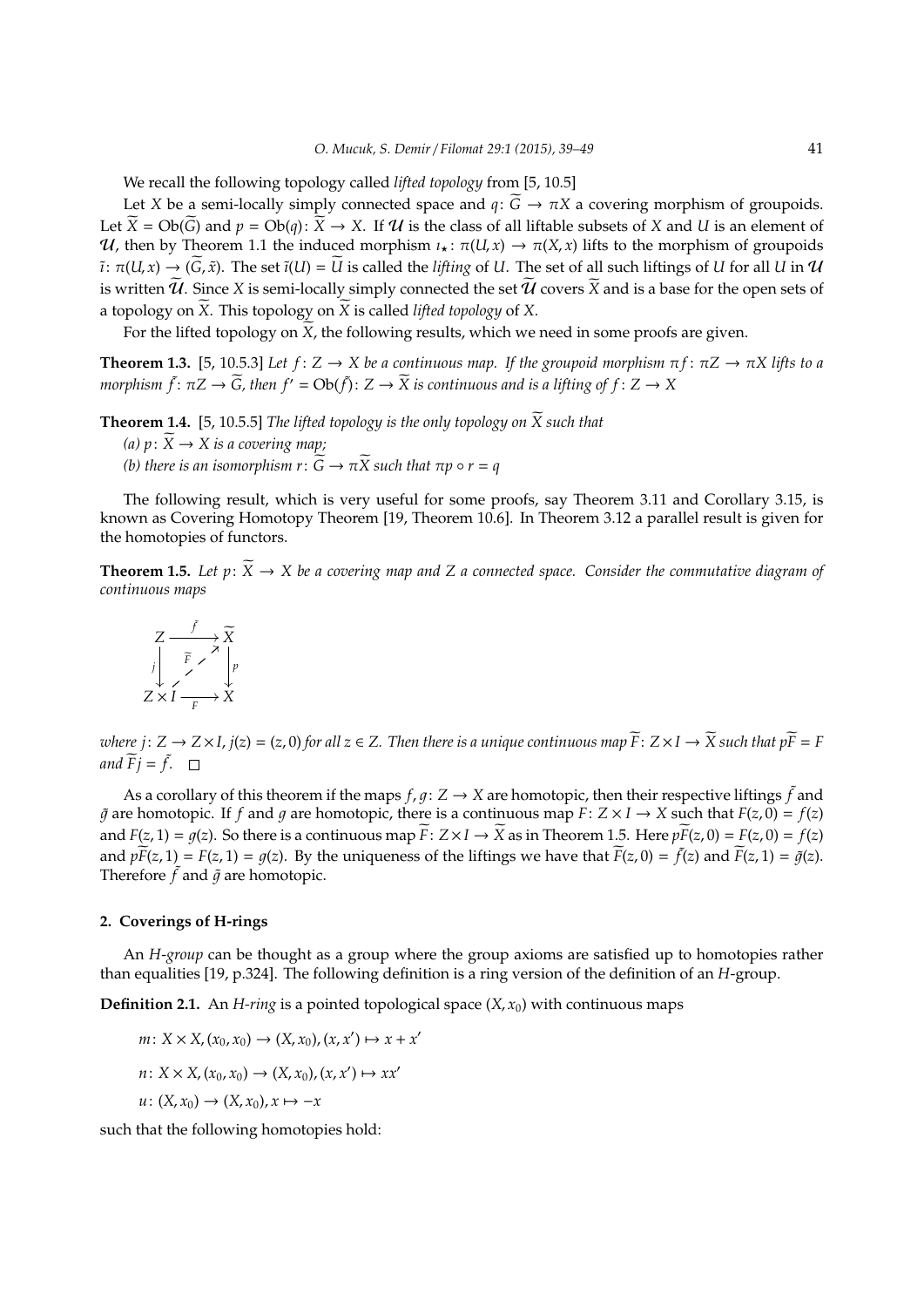We recall the following topology called *lifted topology* from [5, 10.5]

Let *X* be a semi-locally simply connected space and  $q: \widetilde{G} \to \pi X$  a covering morphism of groupoids. Let  $\widetilde{X} = Ob(\widetilde{G})$  and  $p = Ob(q): \widetilde{X} \to X$ . If U is the class of all liftable subsets of X and U is an element of U, then by Theorem 1.1 the induced morphism  $\iota_x : \pi(U, x) \to \pi(X, x)$  lifts to the morphism of groupoids  $\tilde{i}: \pi(U, x) \to (G, \tilde{x})$ . The set  $\tilde{i}(U) = \tilde{U}$  is called the *lifting* of *U*. The set of all such liftings of *U* for all *U* in  $U$ is written  $\tilde{\mathcal{U}}$ . Since *X* is semi-locally simply connected the set  $\tilde{\mathcal{U}}$  covers  $\tilde{X}$  and is a base for the open sets of a topology on  $\overline{X}$ . This topology on  $\overline{X}$  is called *lifted topology* of  $X$ .

For the lifted topology on  $\widetilde{X}$ , the following results, which we need in some proofs are given.

**Theorem 1.3.** [5, 10.5.3] *Let*  $f: Z \to X$  *be a continuous map. If the groupoid morphism*  $\pi f: \pi Z \to \pi X$  *lifts to a morphism*  $\tilde{f}$ :  $\pi Z \to \tilde{G}$ , then  $f' = Ob(\tilde{f})$ :  $Z \to \tilde{X}$  is continuous and is a lifting of  $f: Z \to X$ 

**Theorem 1.4.** [5, 10.5.5] *The lifted topology is the only topology on*  $\widetilde{X}$  *such that (a)*  $p: X \rightarrow X$  *is a covering map*; *(b)* there is an isomorphism  $r: \widetilde{G} \to \pi \widetilde{X}$  such that  $\pi p \circ r = q$ 

The following result, which is very useful for some proofs, say Theorem 3.11 and Corollary 3.15, is known as Covering Homotopy Theorem [19, Theorem 10.6]. In Theorem 3.12 a parallel result is given for the homotopies of functors.

**Theorem 1.5.** Let  $p: \widetilde{X} \to X$  be a covering map and Z a connected space. Consider the commutative diagram of *continuous maps*

$$
\begin{array}{ccc}\nZ & \xrightarrow{f} & \widetilde{X} \\
\downarrow & \searrow & \searrow \\
Z \times I & \xrightarrow{F} & X\n\end{array}
$$

*where*  $j: Z \to Z \times I$ ,  $j(z) = (z, 0)$  *for all*  $z \in Z$ . Then there is a unique continuous map  $\widetilde{F}: Z \times I \to \widetilde{X}$  such that  $p\widetilde{F} = F$ and  $\widetilde{F}j = \widetilde{f}$ .

As a corollary of this theorem if the maps  $f, g: Z \to X$  are homotopic, then their respective liftings  $\tilde{f}$  and  $\tilde{q}$  are homotopic. If f and q are homotopic, there is a continuous map  $F: Z \times I \to X$  such that  $F(z, 0) = f(z)$ and  $F(z, 1) = q(z)$ . So there is a continuous map  $\overline{F}: Z \times I \to \overline{X}$  as in Theorem 1.5. Here  $p\overline{F}(z, 0) = F(z, 0) = f(z)$ and  $p\widetilde{F}(z,1) = F(z,1) = g(z)$ . By the uniqueness of the liftings we have that  $\widetilde{F}(z,0) = \widetilde{f}(z)$  and  $\widetilde{F}(z,1) = \widetilde{g}(z)$ . Therefore  $\tilde{f}$  and  $\tilde{g}$  are homotopic.

#### **2. Coverings of H-rings**

An *H*-*group* can be thought as a group where the group axioms are satisfied up to homotopies rather than equalities [19, p.324]. The following definition is a ring version of the definition of an *H*-group.

**Definition 2.1.** An *H-ring* is a pointed topological space  $(X, x_0)$  with continuous maps

$$
m: X \times X, (x_0, x_0) \to (X, x_0), (x, x') \mapsto x + x'
$$
  

$$
n: X \times X, (x_0, x_0) \to (X, x_0), (x, x') \mapsto xx'
$$
  

$$
u: (X, x_0) \to (X, x_0), x \mapsto -x
$$

such that the following homotopies hold: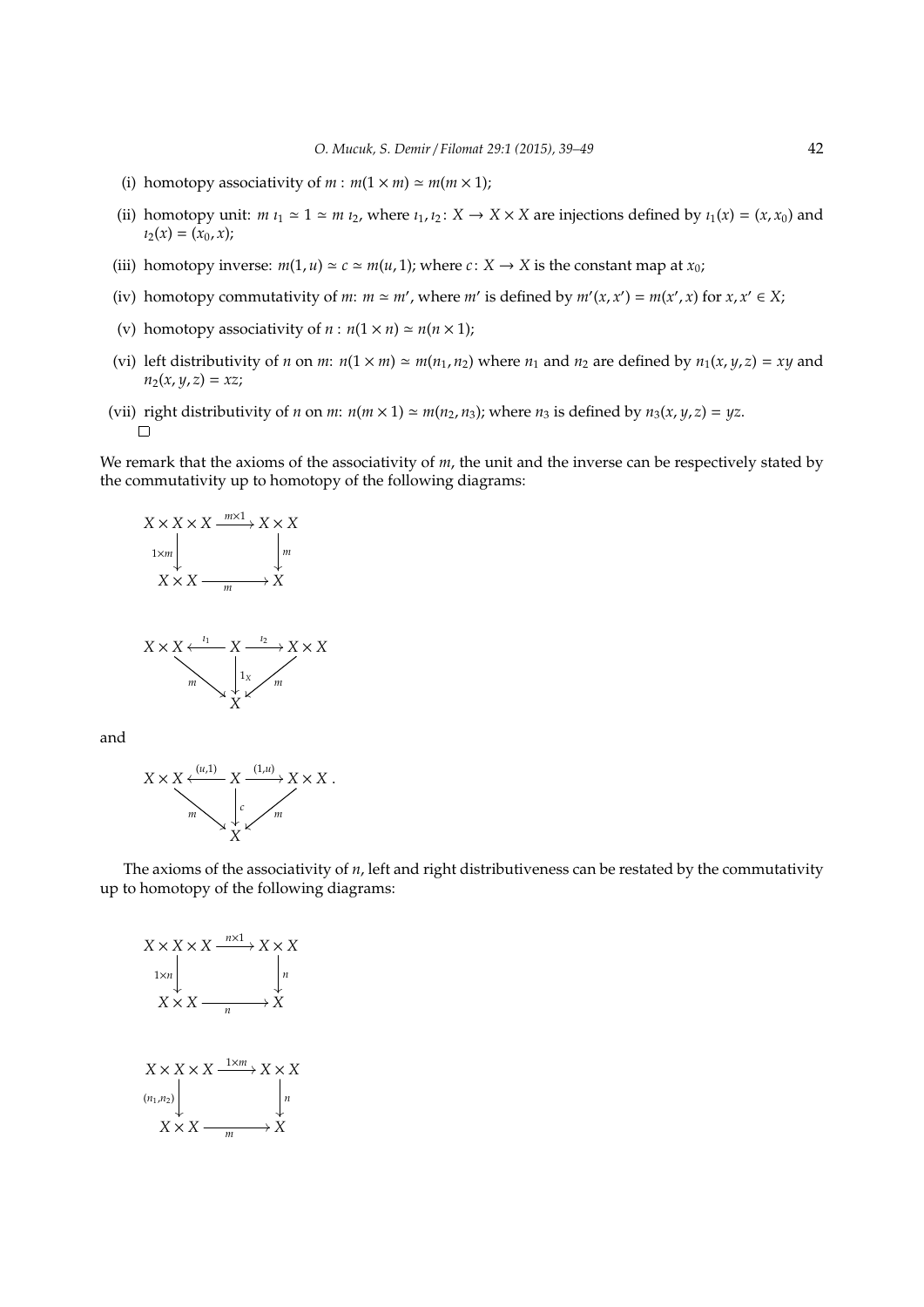- (i) homotopy associativity of  $m : m(1 \times m) \simeq m(m \times 1);$
- (ii) homotopy unit:  $m i_1 \approx 1 \approx m i_2$ , where  $i_1, i_2 \colon X \to X \times X$  are injections defined by  $i_1(x) = (x, x_0)$  and  $i_2(x) = (x_0, x);$
- (iii) homotopy inverse:  $m(1, u) \approx c \approx m(u, 1)$ ; where  $c: X \rightarrow X$  is the constant map at  $x_0$ ;
- (iv) homotopy commutativity of *m*:  $m \approx m'$ , where  $m'$  is defined by  $m'(x, x') = m(x', x)$  for  $x, x' \in X$ ;
- (v) homotopy associativity of  $n : n(1 \times n) \simeq n(n \times 1)$ ;
- (vi) left distributivity of *n* on *m*:  $n(1 \times m) \approx m(n_1, n_2)$  where  $n_1$  and  $n_2$  are defined by  $n_1(x, y, z) = xy$  and  $n_2(x, y, z) = xz;$
- (vii) right distributivity of *n* on *m*:  $n(m \times 1) \approx m(n_2, n_3)$ ; where  $n_3$  is defined by  $n_3(x, y, z) = yz$ .  $\Box$

We remark that the axioms of the associativity of *m*, the unit and the inverse can be respectively stated by the commutativity up to homotopy of the following diagrams:





and



The axioms of the associativity of *n*, left and right distributiveness can be restated by the commutativity up to homotopy of the following diagrams:

$$
X \times X \times X \xrightarrow{n \times 1} X \times X
$$
  
\n
$$
1 \times n
$$
\n
$$
X \times X \xrightarrow{n} X
$$
  
\n
$$
X \times X \times X \xrightarrow{n} X \times X
$$
  
\n
$$
(n_1, n_2)
$$
\n
$$
X \times X \xrightarrow{1 \times m} X \times X
$$
  
\n
$$
X \times X \xrightarrow{m} X
$$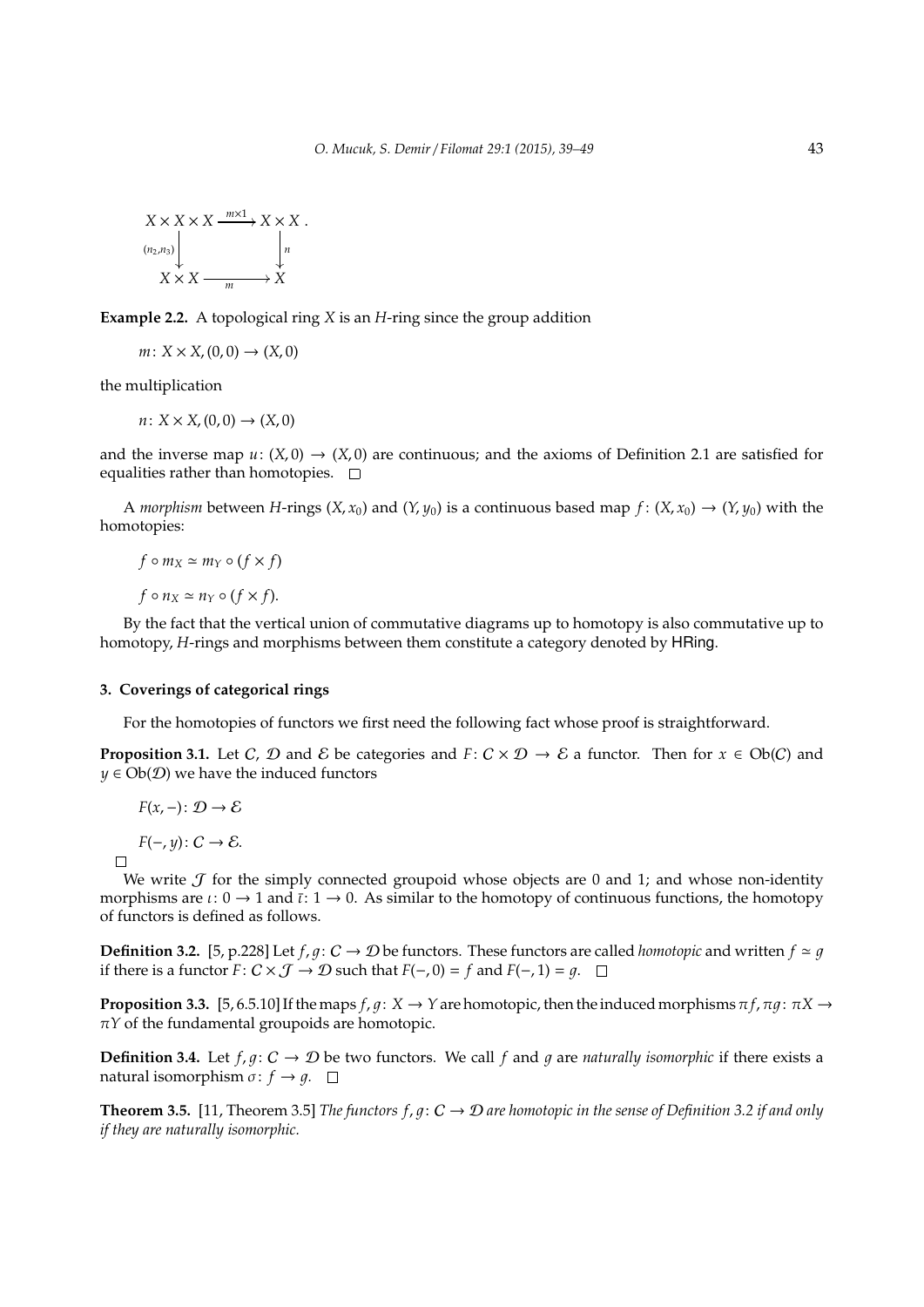$$
X \times X \times X \xrightarrow{m \times 1} X \times X
$$
  
\n
$$
\downarrow^{(n_2, n_3)} \downarrow \qquad \qquad \downarrow^{n}
$$
  
\n
$$
X \times X \xrightarrow{m} X
$$

**Example 2.2.** A topological ring *X* is an *H*-ring since the group addition

 $m: X \times X$ ,  $(0, 0) \rightarrow (X, 0)$ 

the multiplication

$$
n\colon X\times X, (0,0)\to (X,0)
$$

and the inverse map  $u: (X, 0) \rightarrow (X, 0)$  are continuous; and the axioms of Definition 2.1 are satisfied for equalities rather than homotopies.  $\square$ 

A *morphism* between *H*-rings  $(X, x_0)$  and  $(Y, y_0)$  is a continuous based map  $f: (X, x_0) \to (Y, y_0)$  with the homotopies:

$$
f \circ m_X \simeq m_Y \circ (f \times f)
$$
  

$$
f \circ n_X \simeq n_Y \circ (f \times f).
$$

By the fact that the vertical union of commutative diagrams up to homotopy is also commutative up to homotopy, *H*-rings and morphisms between them constitute a category denoted by HRing.

# **3. Coverings of categorical rings**

For the homotopies of functors we first need the following fact whose proof is straightforward.

**Proposition 3.1.** Let C,  $D$  and  $E$  be categories and  $F: C \times D \rightarrow E$  a functor. Then for  $x \in Ob(C)$  and  $y \in Ob(\mathcal{D})$  we have the induced functors

$$
F(x,-)\colon \mathcal{D}\to \mathcal{E}
$$

*F*( $-y$ ):  $C \rightarrow \mathcal{E}$ .

 $\Box$ 

We write  $J$  for the simply connected groupoid whose objects are 0 and 1; and whose non-identity morphisms are  $\iota: 0 \to 1$  and  $\bar{\iota}: 1 \to 0$ . As similar to the homotopy of continuous functions, the homotopy of functors is defined as follows.

**Definition 3.2.** [5, p.228] Let  $f, g: C \to \mathcal{D}$  be functors. These functors are called *homotopic* and written  $f \simeq g$ if there is a functor  $F: C \times J \rightarrow D$  such that  $F(-, 0) = f$  and  $F(-, 1) = q$ . □

**Proposition 3.3.** [5, 6.5.10] If the maps  $f, g: X \to Y$  are homotopic, then the induced morphisms  $\pi f, \pi g: \pi X \to Y$  $\pi Y$  of the fundamental groupoids are homotopic.

**Definition 3.4.** Let  $f, g: C \to D$  be two functors. We call f and g are *naturally isomorphic* if there exists a natural isomorphism  $\sigma: f \rightarrow g$ .  $\square$ 

**Theorem 3.5.** [11, Theorem 3.5] *The functors f, g: C*  $\rightarrow$  *D are homotopic in the sense of Definition 3.2 if and only if they are naturally isomorphic.*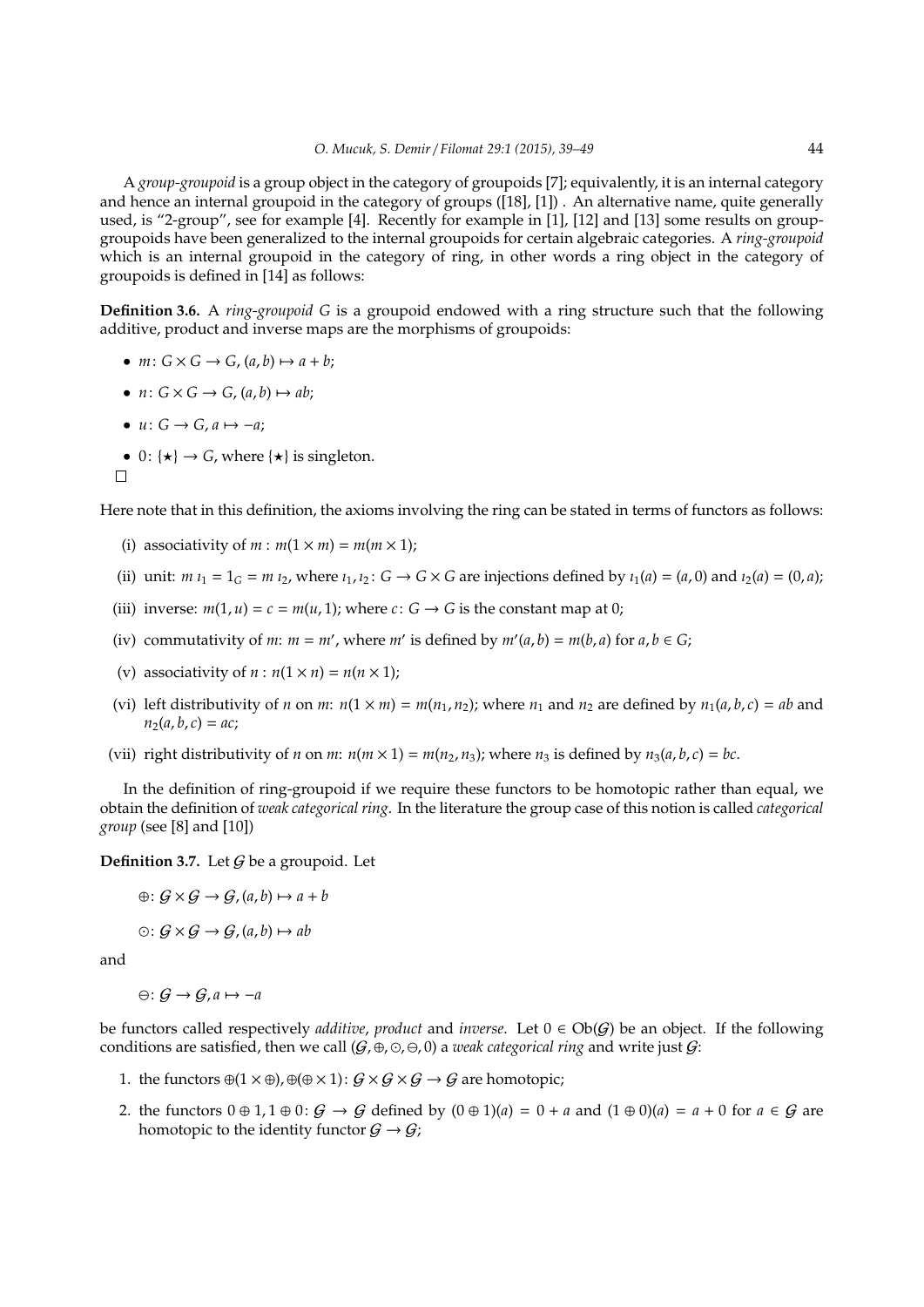A *group-groupoid* is a group object in the category of groupoids [7]; equivalently, it is an internal category and hence an internal groupoid in the category of groups ([18], [1]) . An alternative name, quite generally used, is "2-group", see for example [4]. Recently for example in [1], [12] and [13] some results on groupgroupoids have been generalized to the internal groupoids for certain algebraic categories. A *ring-groupoid* which is an internal groupoid in the category of ring, in other words a ring object in the category of groupoids is defined in [14] as follows:

**Definition 3.6.** A *ring-groupoid G* is a groupoid endowed with a ring structure such that the following additive, product and inverse maps are the morphisms of groupoids:

- $m: G \times G \rightarrow G$ ,  $(a, b) \mapsto a + b$ ;
- $n: G \times G \rightarrow G$ ,  $(a, b) \mapsto ab$ ;
- $u: G \rightarrow G$ ,  $a \mapsto -a$ ;
- 0:  $\{ \star \} \rightarrow G$ , where  $\{ \star \}$  is singleton.

```
\Box
```
Here note that in this definition, the axioms involving the ring can be stated in terms of functors as follows:

- (i) associativity of  $m : m(1 \times m) = m(m \times 1)$ ;
- (ii) unit:  $m t_1 = 1_G = m t_2$ , where  $t_1, t_2 : G \to G \times G$  are injections defined by  $t_1(a) = (a, 0)$  and  $t_2(a) = (0, a)$ ;
- (iii) inverse:  $m(1, u) = c = m(u, 1)$ ; where  $c: G \rightarrow G$  is the constant map at 0;
- (iv) commutativity of *m*:  $m = m'$ , where  $m'$  is defined by  $m'(a, b) = m(b, a)$  for  $a, b \in G$ ;
- (v) associativity of  $n : n(1 \times n) = n(n \times 1)$ ;
- (vi) left distributivity of *n* on *m*:  $n(1 \times m) = m(n_1, n_2)$ ; where  $n_1$  and  $n_2$  are defined by  $n_1(a, b, c) = ab$  and  $n_2(a, b, c) = ac;$
- (vii) right distributivity of *n* on *m*:  $n(m \times 1) = m(n_2, n_3)$ ; where  $n_3$  is defined by  $n_3(a, b, c) = bc$ .

In the definition of ring-groupoid if we require these functors to be homotopic rather than equal, we obtain the definition of *weak categorical ring*. In the literature the group case of this notion is called *categorical group* (see [8] and [10])

**Definition 3.7.** Let G be a groupoid. Let

 $\oplus: G \times G \rightarrow G$ ,  $(a, b) \mapsto a + b$  $\odot: G \times G \rightarrow G$ ,  $(a, b) \mapsto ab$ 

and

$$
\ominus\colon \mathcal{G}\to \mathcal{G}, a\mapsto -a
$$

be functors called respectively *additive, product* and *inverse*. Let  $0 \in Ob(G)$  be an object. If the following conditions are satisfied, then we call  $(G, \oplus, \odot, \ominus, 0)$  a *weak categorical ring* and write just  $G$ :

- 1. the functors  $\oplus (1 \times \oplus), \oplus (\oplus \times 1) : G \times G \times G \rightarrow G$  are homotopic;
- 2. the functors  $0 \oplus 1, 1 \oplus 0$ :  $G \rightarrow G$  defined by  $(0 \oplus 1)(a) = 0 + a$  and  $(1 \oplus 0)(a) = a + 0$  for  $a \in G$  are homotopic to the identity functor  $G \rightarrow G$ ;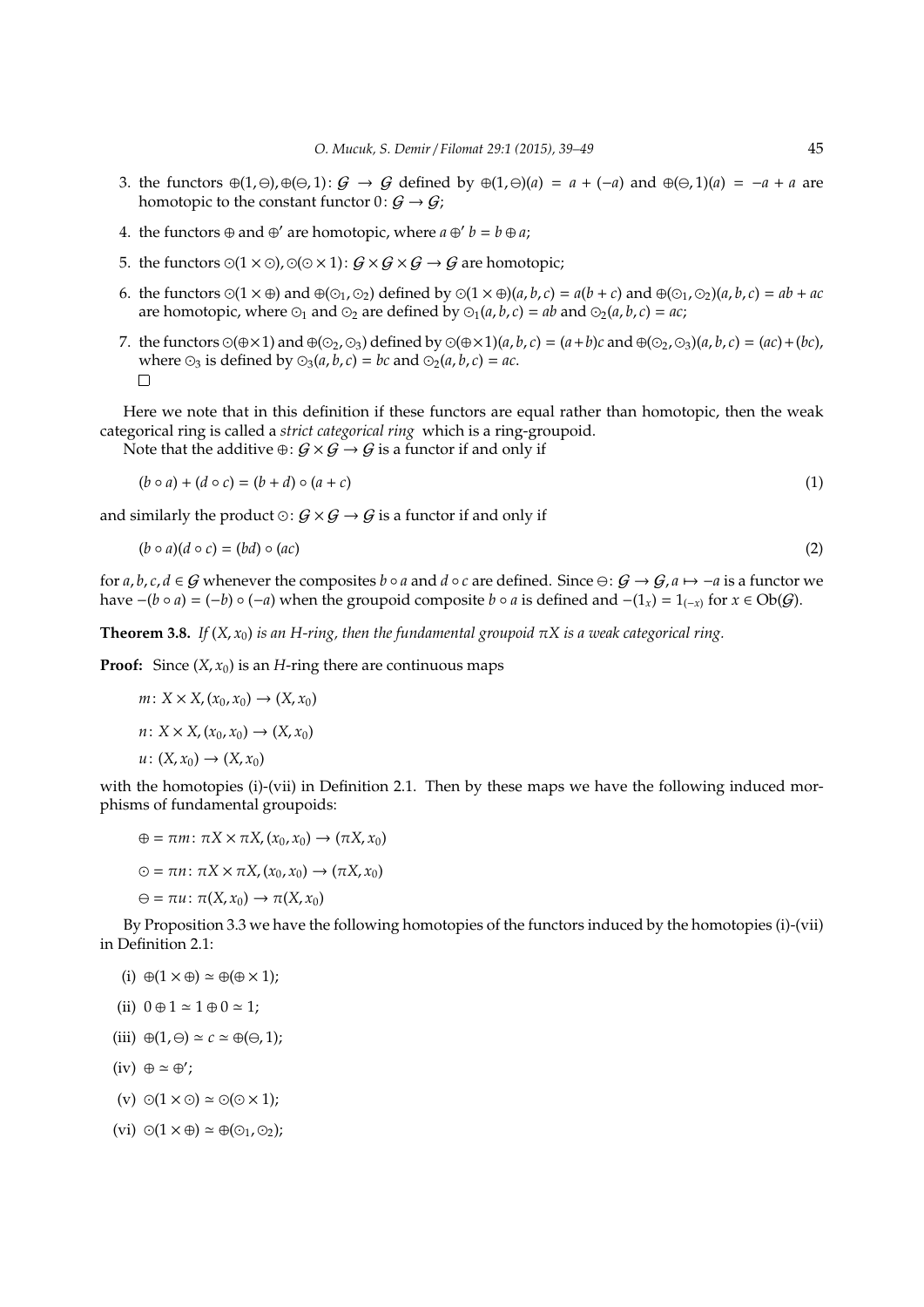- 3. the functors ⊕(1, ⊖),⊕(⊖, 1):  $G \rightarrow G$  defined by ⊕(1, ⊖)(*a*) = *a* + (−*a*) and ⊕(⊖, 1)(*a*) = −*a* + *a* are homotopic to the constant functor  $0: G \rightarrow G$ ;
- 4. the functors  $\oplus$  and  $\oplus'$  are homotopic, where  $a \oplus' b = b \oplus a$ ;
- 5. the functors  $\odot(1 \times \odot)$ ,  $\odot(\odot \times 1)$ :  $\mathcal{G} \times \mathcal{G} \times \mathcal{G} \rightarrow \mathcal{G}$  are homotopic;
- 6. the functors  $\odot(1 \times \oplus)$  and  $\oplus(\odot_1, \odot_2)$  defined by  $\odot(1 \times \oplus)(a, b, c) = a(b + c)$  and  $\oplus(\odot_1, \odot_2)(a, b, c) = ab + ac$ are homotopic, where  $\odot$ <sub>1</sub> and  $\odot$ <sub>2</sub> are defined by  $\odot$ <sub>1</sub>(*a*, *b*, *c*) = *ab* and  $\odot$ <sub>2</sub>(*a*, *b*, *c*) = *ac*;
- 7. the functors  $\odot$ ( $\oplus \times 1$ ) and  $\oplus$ ( $\odot$ <sub>2</sub>,  $\odot$ <sub>3</sub>) defined by  $\odot$ ( $\oplus \times 1$ )(*a*, *b*, *c*) = (*a*+*b*)*c* and  $\oplus$ ( $\odot$ <sub>2</sub>,  $\odot$ <sub>3</sub>)(*a*, *b*, *c*) = (*ac*) + (*bc*), where  $\odot_3$  is defined by  $\odot_3(a, b, c) = bc$  and  $\odot_2(a, b, c) = ac$ .  $\Box$

Here we note that in this definition if these functors are equal rather than homotopic, then the weak categorical ring is called a *strict categorical ring* which is a ring-groupoid.

Note that the additive  $\oplus: G \times G \to G$  is a functor if and only if

$$
(b \circ a) + (d \circ c) = (b + d) \circ (a + c) \tag{1}
$$

and similarly the product  $\odot: G \times G \rightarrow G$  is a functor if and only if

$$
(b \circ a)(d \circ c) = (bd) \circ (ac) \tag{2}
$$

for *a*, *b*, *c*, *d* ∈ G whenever the composites *b* ◦ *a* and *d* ◦ *c* are defined. Since  $\ominus$ :  $G \rightarrow G$ ,  $a \mapsto -a$  is a functor we have  $-(b \circ a) = (-b) \circ (-a)$  when the groupoid composite  $b \circ a$  is defined and  $-(1_x) = 1_{(-x)}$  for  $x \in Ob(G)$ .

**Theorem 3.8.** *If*  $(X, x_0)$  *is an H-ring, then the fundamental groupoid*  $\pi X$  *is a weak categorical ring.* 

**Proof:** Since  $(X, x_0)$  is an *H*-ring there are continuous maps

$$
m: X \times X, (x_0, x_0) \to (X, x_0)
$$
  

$$
n: X \times X, (x_0, x_0) \to (X, x_0)
$$
  

$$
u: (X, x_0) \to (X, x_0)
$$

with the homotopies (i)-(vii) in Definition 2.1. Then by these maps we have the following induced morphisms of fundamental groupoids:

$$
\oplus = \pi m \colon \pi X \times \pi X, (x_0, x_0) \to (\pi X, x_0)
$$

$$
\odot = \pi n \colon \pi X \times \pi X, (x_0, x_0) \to (\pi X, x_0)
$$

$$
\Theta = \pi u \colon \pi(X, x_0) \to \pi(X, x_0)
$$

By Proposition 3.3 we have the following homotopies of the functors induced by the homotopies (i)-(vii) in Definition 2.1:

(i)  $\oplus$  (1  $\times$   $\oplus$ )  $\simeq$   $\oplus$  ( $\oplus$   $\times$  1);

(ii) 
$$
0 \oplus 1 \simeq 1 \oplus 0 \simeq 1;
$$

- (iii)  $\oplus (1, \ominus) \simeq c \simeq \oplus (\ominus, 1);$
- $(iv) \oplus \simeq \oplus'$ ;
- (v)  $\odot(1 \times \odot) \simeq \odot(\odot \times 1);$
- (vi)  $\odot(1 \times \oplus) \simeq \oplus(\odot_1, \odot_2);$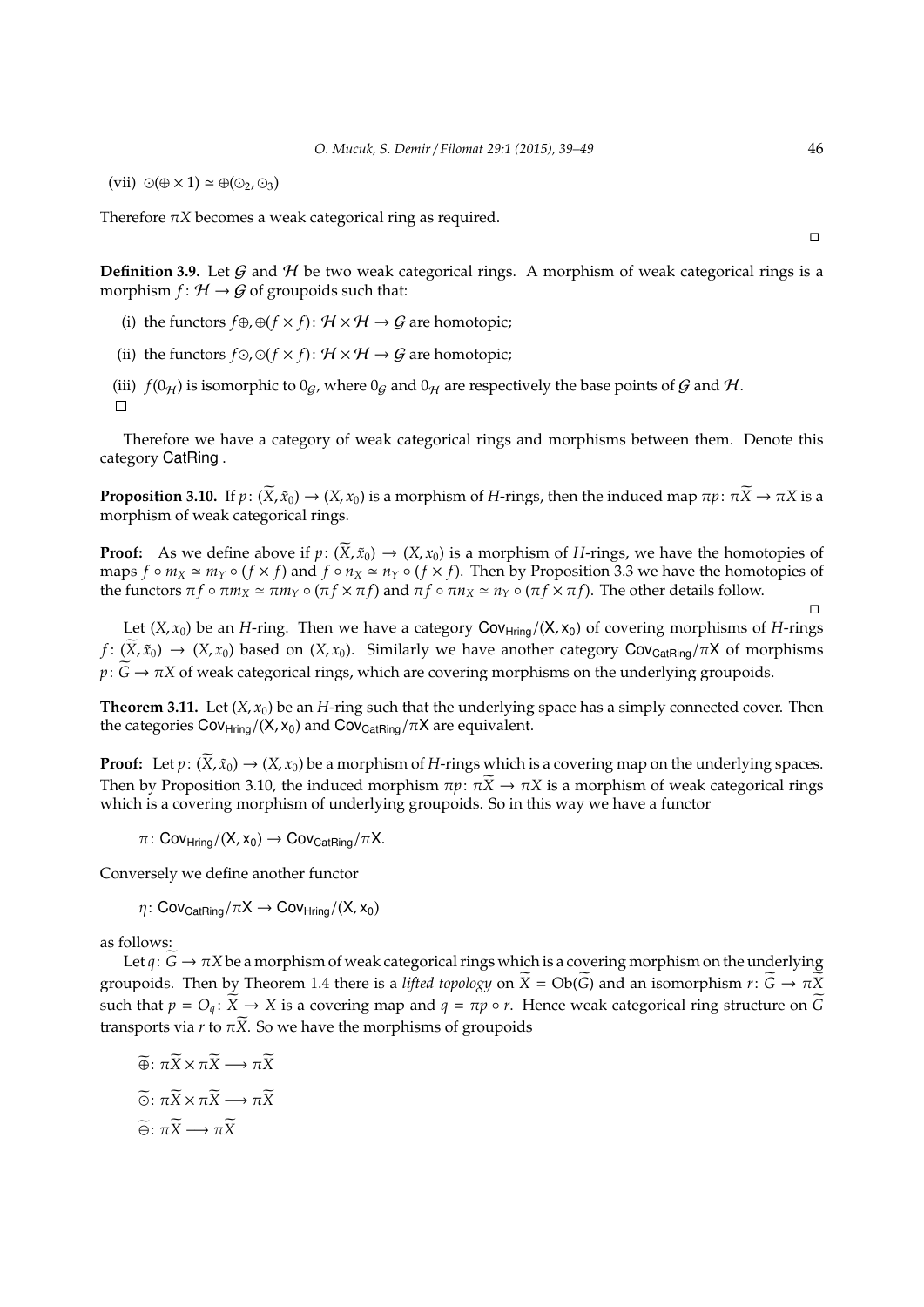(vii)  $\odot$ ( $\oplus \times 1$ )  $\simeq \oplus$ ( $\odot$ ,  $\odot$ <sub>3</sub>)

Therefore  $\pi X$  becomes a weak categorical ring as required.

 $\Box$ 

 $\Box$ 

**Definition 3.9.** Let  $G$  and  $H$  be two weak categorical rings. A morphism of weak categorical rings is a morphism  $f: H \rightarrow G$  of groupoids such that:

- (i) the functors  $f \oplus g$ ,  $\oplus (f \times f)$ :  $H \times H \rightarrow G$  are homotopic;
- (ii) the functors  $f \odot g \odot (f \times f)$ :  $H \times H \rightarrow G$  are homotopic;
- (iii)  $f(0_H)$  is isomorphic to  $0_G$ , where  $0_G$  and  $0_H$  are respectively the base points of  $G$  and  $H$ .  $\Box$

Therefore we have a category of weak categorical rings and morphisms between them. Denote this category CatRing .

**Proposition 3.10.** If  $p: (\overline{X}, \tilde{x}_0) \to (X, x_0)$  is a morphism of *H*-rings, then the induced map  $\pi p: \pi \overline{X} \to \pi X$  is a morphism of weak categorical rings.

**Proof:** As we define above if  $p: (\widetilde{X}, \widetilde{x}_0) \to (X, x_0)$  is a morphism of *H*-rings, we have the homotopies of maps  $f \circ m_X \simeq m_Y \circ (f \times f)$  and  $f \circ n_X \simeq n_Y \circ (f \times f)$ . Then by Proposition 3.3 we have the homotopies of the functors  $\pi f \circ \pi m_X \simeq \pi m_Y \circ (\pi f \times \pi f)$  and  $\pi f \circ \pi n_X \simeq n_Y \circ (\pi f \times \pi f)$ . The other details follow.

Let  $(X, x_0)$  be an *H*-ring. Then we have a category Cov<sub>Hring</sub>/( $X, x_0$ ) of covering morphisms of *H*-rings  $f: (X, \tilde{x}_0) \to (X, x_0)$  based on  $(X, x_0)$ . Similarly we have another category Cov<sub>CatRing</sub>/πX of morphisms  $p: \widetilde{G} \to \pi X$  of weak categorical rings, which are covering morphisms on the underlying groupoids.

**Theorem 3.11.** Let  $(X, x_0)$  be an *H*-ring such that the underlying space has a simply connected cover. Then the categories  $Cov_{\text{Hring}}/(X, x_0)$  and  $Cov_{\text{Cat}\text{Ring}}/\pi X$  are equivalent.

**Proof:** Let  $p: (\overline{X}, \tilde{x}_0) \to (X, x_0)$  be a morphism of *H*-rings which is a covering map on the underlying spaces. Then by Proposition 3.10, the induced morphism  $\pi p$ :  $\pi \tilde{X} \to \pi X$  is a morphism of weak categorical rings which is a covering morphism of underlying groupoids. So in this way we have a functor

 $\pi\colon \mathsf{Cov}_{\mathsf{Hring}}/(\mathsf{X},\mathsf{x}_0)\to \mathsf{Cov}_{\mathsf{Cat}\mathsf{Ring}}/\pi\mathsf{X}.$ 

Conversely we define another functor

$$
\eta\colon \mathsf{Cov}_{\mathsf{CatRing}}/\pi X\to \mathsf{Cov}_{\mathsf{Hring}}/(X,x_0)
$$

as follows:

Let  $q: \widetilde{G} \to \pi X$  be a morphism of weak categorical rings which is a covering morphism on the underlying groupoids. Then by Theorem 1.4 there is a *lifted topology* on  $\widetilde{X} = Ob(\widetilde{G})$  and an isomorphism  $r: \widetilde{G} \to \pi \widetilde{X}$ such that  $p = O_q$ :  $\widetilde{X} \to X$  is a covering map and  $q = \pi p \circ r$ . Hence weak categorical ring structure on  $\widetilde{G}$ transports via *r* to  $\pi \tilde{X}$ . So we have the morphisms of groupoids

$$
\widetilde{\oplus}: \pi \widetilde{X} \times \pi \widetilde{X} \longrightarrow \pi \widetilde{X}
$$

$$
\widetilde{\odot}: \pi \widetilde{X} \times \pi \widetilde{X} \longrightarrow \pi \widetilde{X}
$$

$$
\widetilde{\ominus}: \pi \widetilde{X} \longrightarrow \pi \widetilde{X}
$$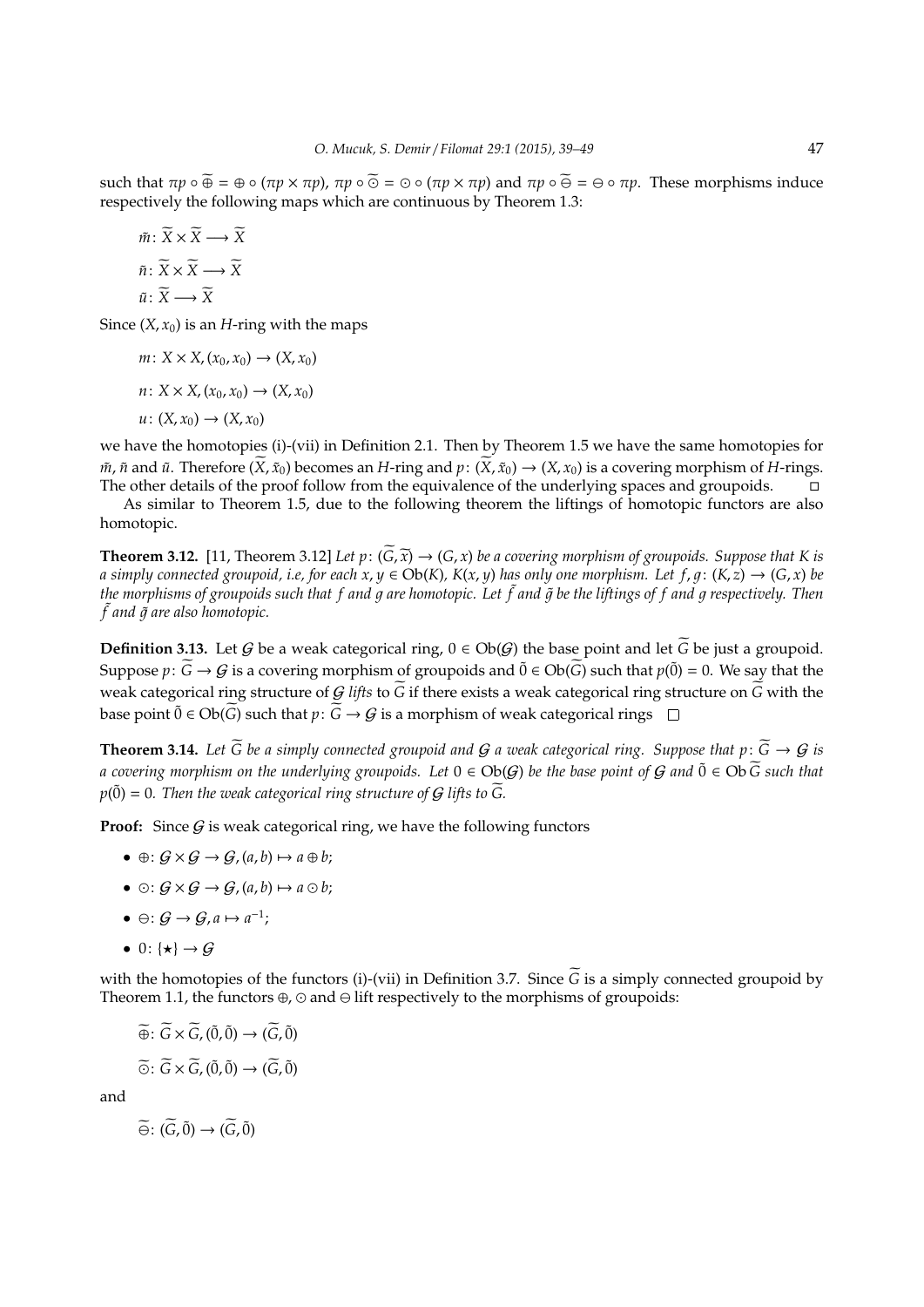such that  $\pi p \circ \widetilde{\Theta} = \Theta \circ (\pi p \times \pi p)$ ,  $\pi p \circ \widetilde{\Theta} = \Theta \circ (\pi p \times \pi p)$  and  $\pi p \circ \widetilde{\Theta} = \Theta \circ \pi p$ . These morphisms induce respectively the following maps which are continuous by Theorem 1.3:

$$
\tilde{m}: \widetilde{X} \times \widetilde{X} \longrightarrow \widetilde{X}
$$

$$
\tilde{n}: \widetilde{X} \times \widetilde{X} \longrightarrow \widetilde{X}
$$

$$
\tilde{u}: \widetilde{X} \longrightarrow \widetilde{X}
$$

Since  $(X, x_0)$  is an *H*-ring with the maps

 $m: X \times X$ ,  $(x_0, x_0) \rightarrow (X, x_0)$  $n: X \times X$ ,  $(x_0, x_0) \rightarrow (X, x_0)$  $u: (X, x_0) \rightarrow (X, x_0)$ 

we have the homotopies (i)-(vii) in Definition 2.1. Then by Theorem 1.5 we have the same homotopies for *m̃*, *ñ* and *ũ*. Therefore ( $\overline{X}$ ,  $\tilde{x}_0$ ) becomes an *H*-ring and *p*: ( $\overline{X}$ ,  $\tilde{x}_0$ ) → ( $X$ ,  $x_0$ ) is a covering morphism of *H*-rings.<br>The other details of the proof follow from the equivalence of the The other details of the proof follow from the equivalence of the underlying spaces and groupoids.

As similar to Theorem 1.5, due to the following theorem the liftings of homotopic functors are also homotopic.

**Theorem 3.12.** [11, Theorem 3.12] *Let p*:  $(\widetilde{G}, \widetilde{x}) \to (G, x)$  *be a covering morphism of groupoids. Suppose that K is a* simply connected groupoid, i.e, for each  $x, y \in Ob(K)$ ,  $K(x, y)$  has only one morphism. Let  $f, g: (K, z) \to (G, x)$  be *the morphisms of groupoids such that f and* 1 *are homotopic. Let* ˜ *f and* 1˜ *be the liftings of f and* 1 *respectively. Then*  $\tilde{f}$  and  $\tilde{g}$  are also homotopic.

**Definition 3.13.** Let G be a weak categorical ring,  $0 \in Ob(G)$  the base point and let G be just a groupoid. Suppose  $p: \widetilde{G} \to G$  is a covering morphism of groupoids and  $\widetilde{0} \in Ob(\widetilde{G})$  such that  $p(\widetilde{0}) = 0$ . We say that the weak categorical ring structure of G lifts to  $\tilde{G}$  if there exists a weak categorical ring structure on  $\tilde{G}$  with the base point  $\tilde{0}$  ∈ Ob( $\tilde{G}$ ) such that  $p: \tilde{G} \to G$  is a morphism of weak categorical rings  $\Box$ 

**Theorem 3.14.** Let  $\widetilde{G}$  be a simply connected groupoid and  $G$  a weak categorical ring. Suppose that  $p: \widetilde{G} \to G$  is *a covering morphism on the underlying groupoids. Let*  $0 ∈ Ob(G)$  *be the base point of*  $G$  *and*  $0$  ∈  $Ob\ G$  *such that*  $p(\tilde{0}) = 0$ . Then the weak categorical ring structure of G lifts to  $\tilde{G}$ .

**Proof:** Since  $G$  is weak categorical ring, we have the following functors

- $\oplus: G \times G \rightarrow G$ ,  $(a, b) \mapsto a \oplus b$ ;
- $\bullet \odot: \mathcal{G} \times \mathcal{G} \rightarrow \mathcal{G}$ ,  $(a, b) \mapsto a \odot b$ ;
- $\Theta: \mathcal{G} \to \mathcal{G}, a \mapsto a^{-1};$
- 0:  $\{ \star \} \rightarrow G$

with the homotopies of the functors (i)-(vii) in Definition 3.7. Since  $\tilde{G}$  is a simply connected groupoid by Theorem 1.1, the functors  $\oplus$ ,  $\odot$  and  $\ominus$  lift respectively to the morphisms of groupoids:

$$
\widetilde{\oplus} \colon \widetilde{G} \times \widetilde{G}, (\widetilde{0}, \widetilde{0}) \to (\widetilde{G}, \widetilde{0})
$$

$$
\widetilde{\odot} \colon \widetilde{G} \times \widetilde{G}, (\widetilde{0}, \widetilde{0}) \to (\widetilde{G}, \widetilde{0})
$$

and

$$
\widetilde{\Theta} \colon (\widetilde{G}, \widetilde{0}) \to (\widetilde{G}, \widetilde{0})
$$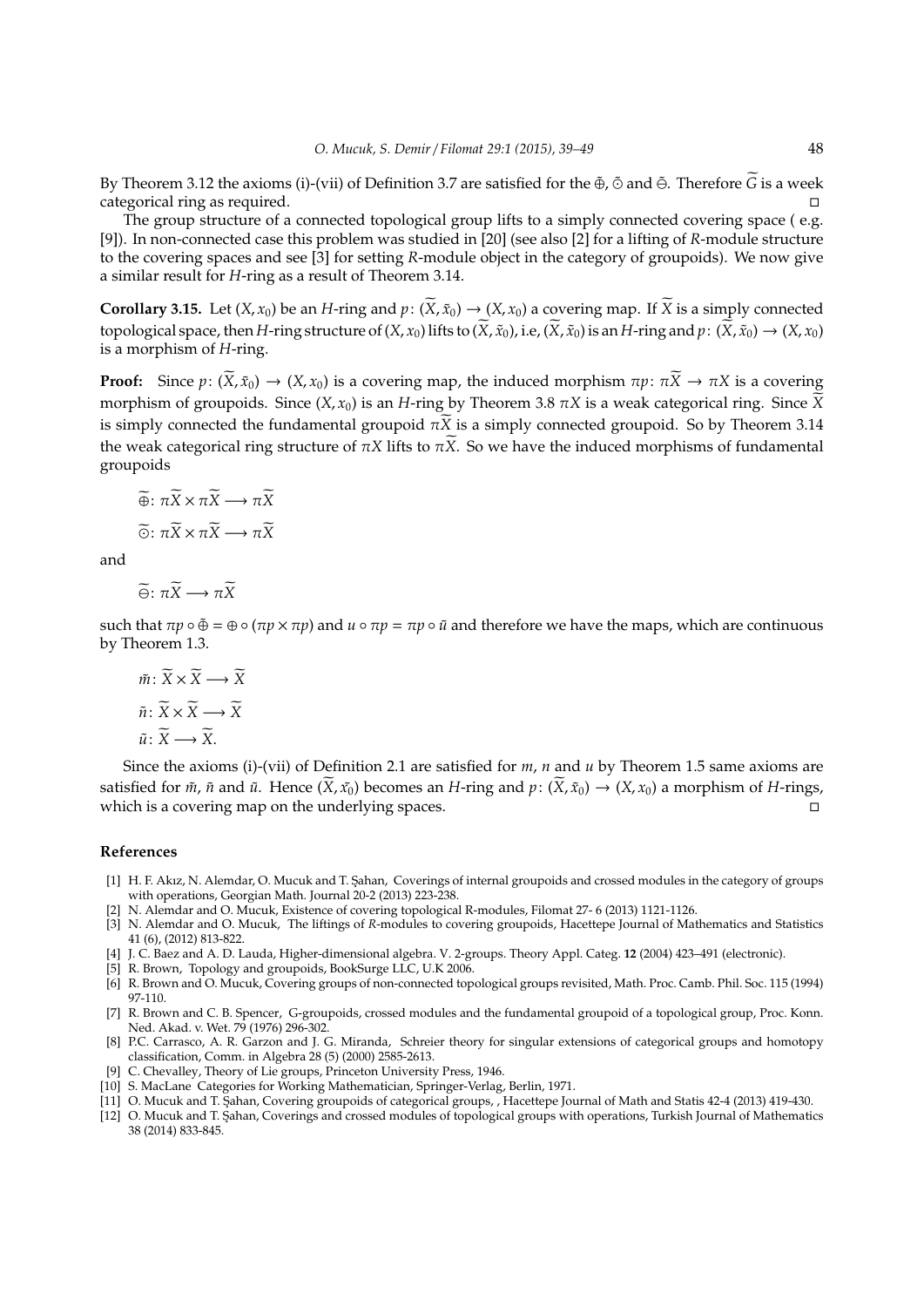By Theorem 3.12 the axioms (i)-(vii) of Definition 3.7 are satisfied for the  $\tilde{\Phi}$ ,  $\tilde{\Phi}$  and  $\tilde{\Theta}$ . Therefore  $\tilde{G}$  is a week categorical ring as required.

The group structure of a connected topological group lifts to a simply connected covering space ( e.g. [9]). In non-connected case this problem was studied in [20] (see also [2] for a lifting of *R*-module structure to the covering spaces and see [3] for setting *R*-module object in the category of groupoids). We now give a similar result for *H*-ring as a result of Theorem 3.14.

**Corollary 3.15.** Let  $(X, x_0)$  be an *H*-ring and  $p: (\overline{X}, \tilde{x}_0) \to (X, x_0)$  a covering map. If  $\overline{X}$  is a simply connected topological space, then *H*-ring structure of  $(X, x_0)$  lifts to  $(\widetilde{X}, \widetilde{x}_0)$ , i.e,  $(\widetilde{X}, \widetilde{x}_0)$  is an *H*-ring and  $p: (\widetilde{X}, \widetilde{x}_0) \to (X, x_0)$ is a morphism of *H*-ring.

**Proof:** Since  $p: (\overline{X}, \tilde{x}_0) \to (X, x_0)$  is a covering map, the induced morphism  $\pi p: \pi \overline{X} \to \pi X$  is a covering morphism of groupoids. Since  $(X, x_0)$  is an *H*-ring by Theorem 3.8  $\pi X$  is a weak categorical ring. Since  $\widetilde{X}$ is simply connected the fundamental groupoid  $\pi \overline{X}$  is a simply connected groupoid. So by Theorem 3.14 the weak categorical ring structure of  $\pi X$  lifts to  $\pi X$ . So we have the induced morphisms of fundamental groupoids

$$
\widetilde{\oplus} : \pi \widetilde{X} \times \pi \widetilde{X} \longrightarrow \pi \widetilde{X}
$$

$$
\widetilde{\odot} : \pi \widetilde{X} \times \pi \widetilde{X} \longrightarrow \pi \widetilde{X}
$$

and

$$
\widetilde{\Theta} \colon \pi \widetilde{X} \longrightarrow \pi \widetilde{X}
$$

such that  $πp \circ Φ = Φ \circ (πp × πp)$  and  $u \circ πp = πp \circ ω$  and therefore we have the maps, which are continuous by Theorem 1.3.

$$
\tilde{m}: \widetilde{X} \times \widetilde{X} \longrightarrow \widetilde{X}
$$

$$
\tilde{n}: \widetilde{X} \times \widetilde{X} \longrightarrow \widetilde{X}
$$

$$
\tilde{u}: \widetilde{X} \longrightarrow \widetilde{X}.
$$

Since the axioms (i)-(vii) of Definition 2.1 are satisfied for *m*, *n* and *u* by Theorem 1.5 same axioms are satisfied for  $\tilde{m}$ ,  $\tilde{n}$  and  $\tilde{u}$ . Hence  $(\tilde{X}, \tilde{x_0})$  becomes an *H*-ring and  $p: (\tilde{X}, \tilde{x_0}) \to (X, x_0)$  a morphism of *H*-rings, which is a covering map on the underlying spaces. which is a covering map on the underlying spaces.

#### **References**

- [1] H. F. Akız, N. Alemdar, O. Mucuk and T. Sahan, Coverings of internal groupoids and crossed modules in the category of groups with operations, Georgian Math. Journal 20-2 (2013) 223-238.
- [2] N. Alemdar and O. Mucuk, Existence of covering topological R-modules, Filomat 27- 6 (2013) 1121-1126.
- [3] N. Alemdar and O. Mucuk, The liftings of *R*-modules to covering groupoids, Hacettepe Journal of Mathematics and Statistics 41 (6), (2012) 813-822.
- [4] J. C. Baez and A. D. Lauda, Higher-dimensional algebra. V. 2-groups. Theory Appl. Categ. **12** (2004) 423–491 (electronic).
- [5] R. Brown, Topology and groupoids, BookSurge LLC, U.K 2006.
- [6] R. Brown and O. Mucuk, Covering groups of non-connected topological groups revisited, Math. Proc. Camb. Phil. Soc. 115 (1994) 97-110.
- [7] R. Brown and C. B. Spencer, G-groupoids, crossed modules and the fundamental groupoid of a topological group, Proc. Konn. Ned. Akad. v. Wet. 79 (1976) 296-302.
- [8] P.C. Carrasco, A. R. Garzon and J. G. Miranda, Schreier theory for singular extensions of categorical groups and homotopy classification, Comm. in Algebra 28 (5) (2000) 2585-2613.
- [9] C. Chevalley, Theory of Lie groups, Princeton University Press, 1946.
- [10] S. MacLane Categories for Working Mathematician, Springer-Verlag, Berlin, 1971.
- [11] O. Mucuk and T. Sahan, Covering groupoids of categorical groups, , Hacettepe Journal of Math and Statis 42-4 (2013) 419-430.
- [12] O. Mucuk and T. Sahan, Coverings and crossed modules of topological groups with operations, Turkish Journal of Mathematics 38 (2014) 833-845.